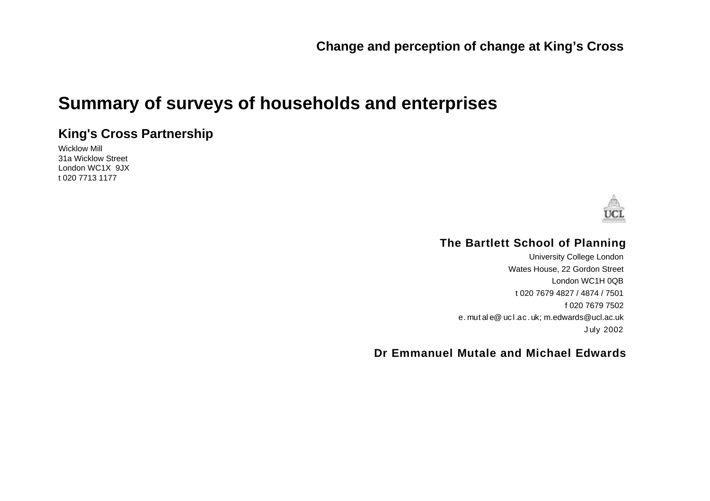# **Summary of surveys of households and enterprises**

### **King's Cross Partnership**

Wicklow Mill 31a Wicklow Street London WC1X 9JX t 020 7713 1177



#### **The Bartlett School of Planning**

University College London Wates House, 22 Gordon Street London WC1H 0QB t 020 7679 4827 / 4874 / 7501 f 020 7679 7502 e. mut al e@ uc l.ac.uk; m.edwards@ucl.ac.uk July 2002

#### **Dr Emmanuel Mutale and Michael Edwards**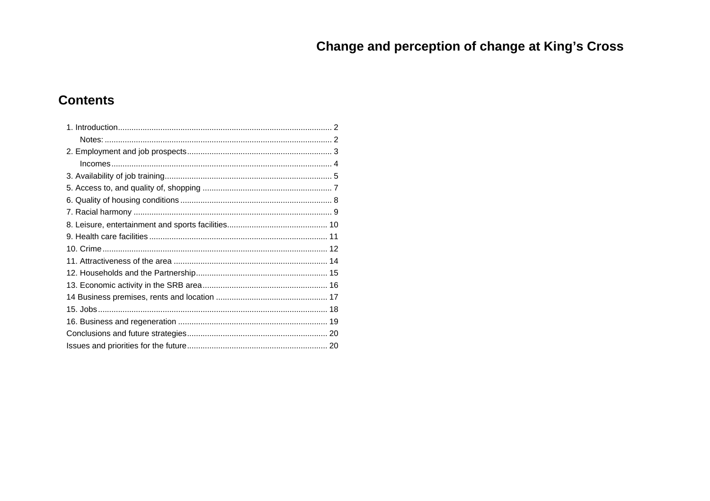### **Contents**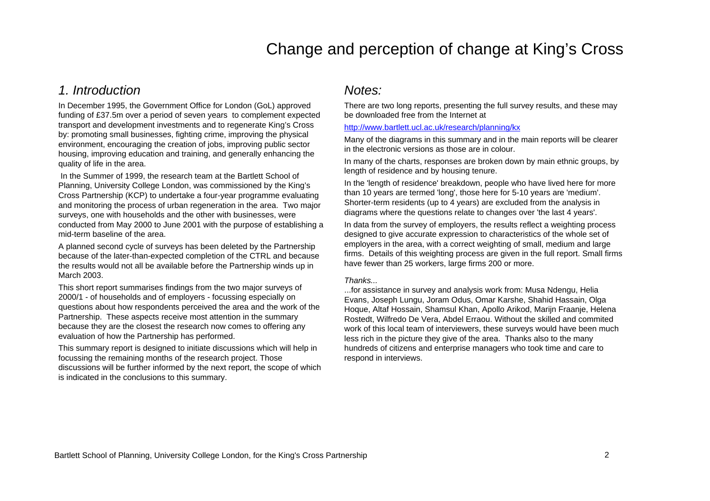#### *1. Introduction*

In December 1995, the Government Office for London (GoL) approved funding of £37.5m over a period of seven years to complement expected transport and development investments and to regenerate King's Cross by: promoting small businesses, fighting crime, improving the physical environment, encouraging the creation of jobs, improving public sector housing, improving education and training, and generally enhancing the quality of life in the area.

 In the Summer of 1999, the research team at the Bartlett School of Planning, University College London, was commissioned by the King's Cross Partnership (KCP) to undertake a four-year programme evaluating and monitoring the process of urban regeneration in the area. Two major surveys, one with households and the other with businesses, were conducted from May 2000 to June 2001 with the purpose of establishing a mid-term baseline of the area.

A planned second cycle of surveys has been deleted by the Partnership because of the later-than-expected completion of the CTRL and because the results would not all be available before the Partnership winds up in March 2003.

This short report summarises findings from the two major surveys of 2000/1 - of households and of employers - focussing especially on questions about how respondents perceived the area and the work of the Partnership. These aspects receive most attention in the summary because they are the closest the research now comes to offering any evaluation of how the Partnership has performed.

This summary report is designed to initiate discussions which will help in focussing the remaining months of the research project. Those discussions will be further informed by the next report, the scope of which is indicated in the conclusions to this summary.

#### *Notes:*

There are two long reports, presenting the full survey results, and these may be downloaded free from the Internet at

#### <http://www.bartlett.ucl.ac.uk/research/planning/kx>

Many of the diagrams in this summary and in the main reports will be clearer in the electronic versions as those are in colour.

In many of the charts, responses are broken down by main ethnic groups, by length of residence and by housing tenure.

In the 'length of residence' breakdown, people who have lived here for more than 10 years are termed 'long', those here for 5-10 years are 'medium'. Shorter-term residents (up to 4 years) are excluded from the analysis in diagrams where the questions relate to changes over 'the last 4 years'.

In data from the survey of employers, the results reflect a weighting process designed to give accurate expression to characteristics of the whole set of employers in the area, with a correct weighting of small, medium and large firms. Details of this weighting process are given in the full report. Small firms have fewer than 25 workers, large firms 200 or more.

#### *Thanks...*

...for assistance in survey and analysis work from: Musa Ndengu, Helia Evans, Joseph Lungu, Joram Odus, Omar Karshe, Shahid Hassain, Olga Hoque, Altaf Hossain, Shamsul Khan, Apollo Arikod, Marijn Fraanje, Helena Rostedt, Wilfredo De Vera, Abdel Erraou. Without the skilled and commited work of this local team of interviewers, these surveys would have been much less rich in the picture they give of the area. Thanks also to the many hundreds of citizens and enterprise managers who took time and care to respond in interviews.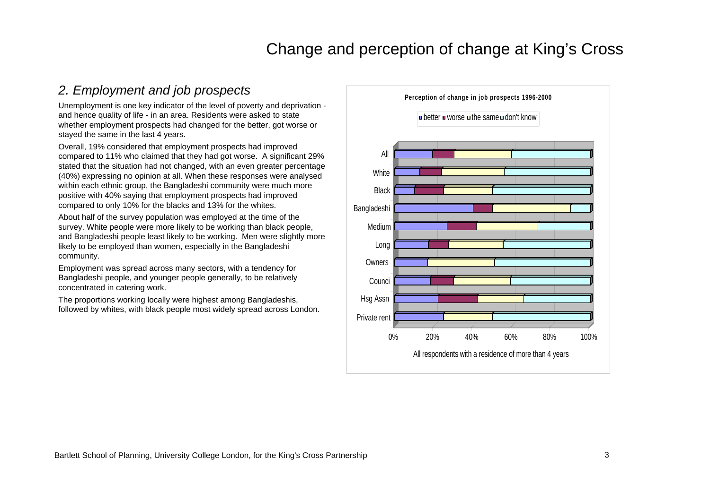### *2. Employment and job prospects*

Unemployment is one key indicator of the level of poverty and deprivation and hence quality of life - in an area. Residents were asked to state whether employment prospects had changed for the better, got worse or stayed the same in the last 4 years.

Overall, 19% considered that employment prospects had improved compared to 11% who claimed that they had got worse. A significant 29% stated that the situation had not changed, with an even greater percentage (40%) expressing no opinion at all. When these responses were analysed within each ethnic group, the Bangladeshi community were much more positive with 40% saying that employment prospects had improved compared to only 10% for the blacks and 13% for the whites.

About half of the survey population was employed at the time of the survey. White people were more likely to be working than black people, and Bangladeshi people least likely to be working. Men were slightly more likely to be employed than women, especially in the Bangladeshi community.

Employment was spread across many sectors, with a tendency for Bangladeshi people, and younger people generally, to be relatively concentrated in catering work.

The proportions working locally were highest among Bangladeshis, followed by whites, with black people most widely spread across London.

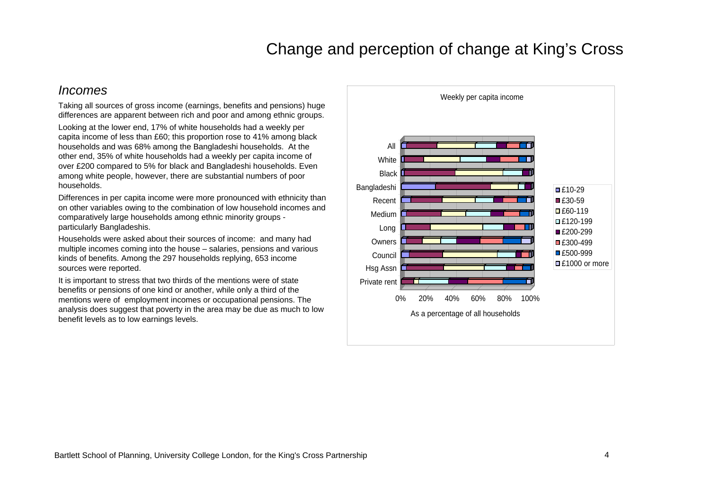#### *Incomes*

Taking all sources of gross income (earnings, benefits and pensions) huge differences are apparent between rich and poor and among ethnic groups.

Looking at the lower end, 17% of white households had a weekly per capita income of less than £60; this proportion rose to 41% among black households and was 68% among the Bangladeshi households. At the other end, 35% of white households had a weekly per capita income of over £200 compared to 5% for black and Bangladeshi households. Even among white people, however, there are substantial numbers of poor households.

Differences in per capita income were more pronounced with ethnicity than on other variables owing to the combination of low household incomes and comparatively large households among ethnic minority groups particularly Bangladeshis.

Households were asked about their sources of income: and many had multiple incomes coming into the house – salaries, pensions and various kinds of benefits. Among the 297 households replying, 653 income sources were reported.

It is important to stress that two thirds of the mentions were of state benefits or pensions of one kind or another, while only a third of the mentions were of employment incomes or occupational pensions. The analysis does suggest that poverty in the area may be due as much to low benefit levels as to low earnings levels.

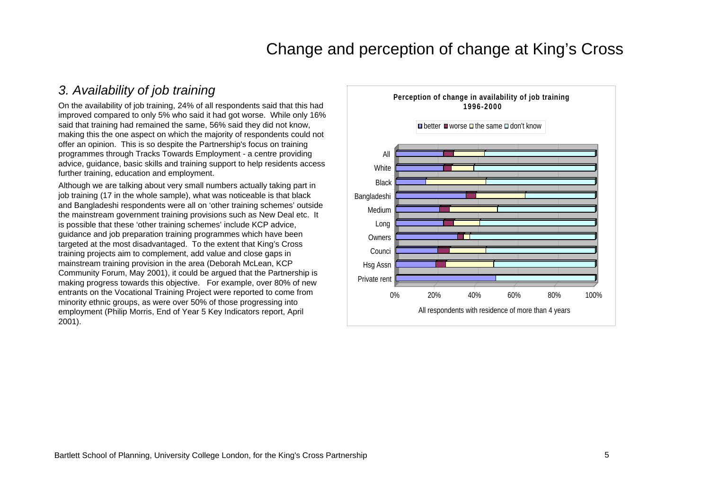### *3. Availability of job training*

On the availability of job training, 24% of all respondents said that this had improved compared to only 5% who said it had got worse. While only 16% said that training had remained the same, 56% said they did not know, making this the one aspect on which the majority of respondents could not offer an opinion. This is so despite the Partnership's focus on training programmes through Tracks Towards Employment - a centre providing advice, guidance, basic skills and training support to help residents access further training, education and employment.

Although we are talking about very small numbers actually taking part in job training (17 in the whole sample), what was noticeable is that black and Bangladeshi respondents were all on 'other training schemes' outside the mainstream government training provisions such as New Deal etc. It is possible that these 'other training schemes' include KCP advice, guidance and job preparation training programmes which have been targeted at the most disadvantaged. To the extent that King's Cross training projects aim to complement, add value and close gaps in mainstream training provision in the area (Deborah McLean, KCP Community Forum, May 2001), it could be argued that the Partnership is making progress towards this objective. For example, over 80% of new entrants on the Vocational Training Project were reported to come from minority ethnic groups, as were over 50% of those progressing into employment (Philip Morris, End of Year 5 Key Indicators report, April 2001).

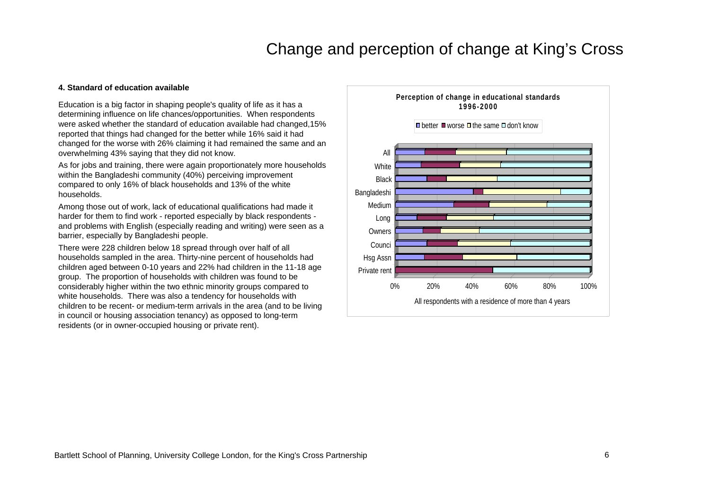#### **4. Standard of education available**

Education is a big factor in shaping people's quality of life as it has a determining influence on life chances/opportunities. When respondents were asked whether the standard of education available had changed,15% reported that things had changed for the better while 16% said it had changed for the worse with 26% claiming it had remained the same and an overwhelming 43% saying that they did not know.

As for jobs and training, there were again proportionately more households within the Bangladeshi community (40%) perceiving improvement compared to only 16% of black households and 13% of the white households.

Among those out of work, lack of educational qualifications had made it harder for them to find work - reported especially by black respondents and problems with English (especially reading and writing) were seen as a barrier, especially by Bangladeshi people.

There were 228 children below 18 spread through over half of all households sampled in the area. Thirty-nine percent of households had children aged between 0-10 years and 22% had children in the 11-18 age group. The proportion of households with children was found to be considerably higher within the two ethnic minority groups compared to white households. There was also a tendency for households with children to be recent- or medium-term arrivals in the area (and to be living in council or housing association tenancy) as opposed to long-term residents (or in owner-occupied housing or private rent).

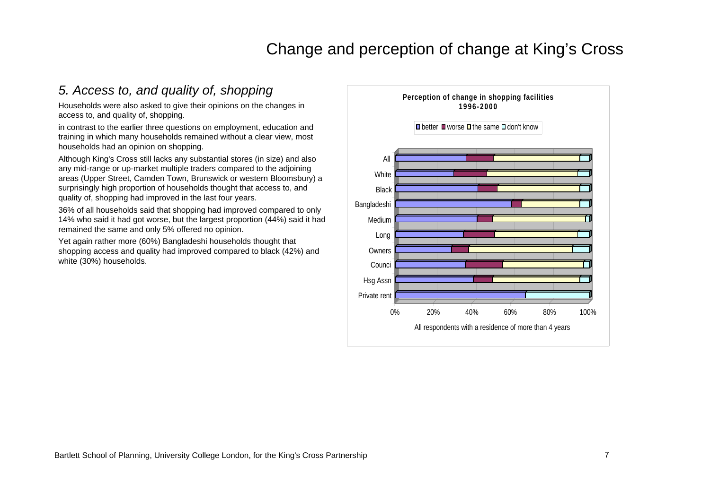### *5. Access to, and quality of, shopping*

Households were also asked to give their opinions on the changes in access to, and quality of, shopping.

in contrast to the earlier three questions on employment, education and training in which many households remained without a clear view, most households had an opinion on shopping.

Although King's Cross still lacks any substantial stores (in size) and also any mid-range or up-market multiple traders compared to the adjoining areas (Upper Street, Camden Town, Brunswick or western Bloomsbury) a surprisingly high proportion of households thought that access to, and quality of, shopping had improved in the last four years.

36% of all households said that shopping had improved compared to only 14% who said it had got worse, but the largest proportion (44%) said it had remained the same and only 5% offered no opinion.

Yet again rather more (60%) Bangladeshi households thought that shopping access and quality had improved compared to black (42%) and white (30%) households.

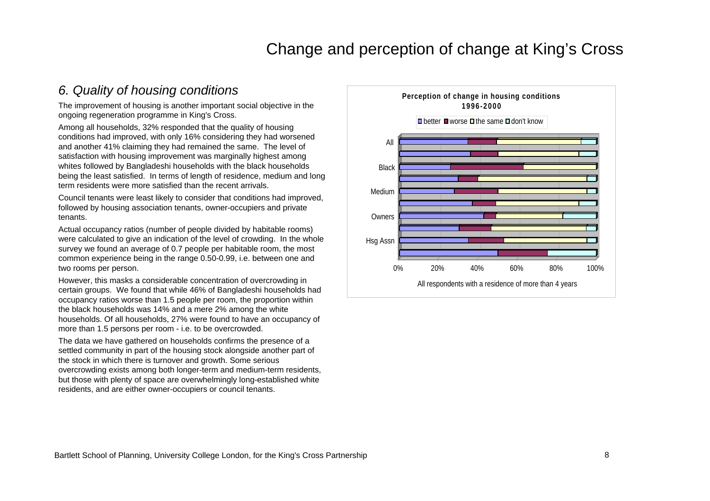#### *6. Quality of housing conditions*

The improvement of housing is another important social objective in the ongoing regeneration programme in King's Cross.

Among all households, 32% responded that the quality of housing conditions had improved, with only 16% considering they had worsened and another 41% claiming they had remained the same. The level of satisfaction with housing improvement was marginally highest among whites followed by Bangladeshi households with the black households being the least satisfied. In terms of length of residence, medium and long term residents were more satisfied than the recent arrivals.

Council tenants were least likely to consider that conditions had improved, followed by housing association tenants, owner-occupiers and private tenants.

Actual occupancy ratios (number of people divided by habitable rooms) were calculated to give an indication of the level of crowding. In the whole survey we found an average of 0.7 people per habitable room, the most common experience being in the range 0.50-0.99, i.e. between one and two rooms per person.

However, this masks a considerable concentration of overcrowding in certain groups. We found that while 46% of Bangladeshi households had occupancy ratios worse than 1.5 people per room, the proportion within the black households was 14% and a mere 2% among the white households. Of all households, 27% were found to have an occupancy of more than 1.5 persons per room - i.e. to be overcrowded.

The data we have gathered on households confirms the presence of a settled community in part of the housing stock alongside another part of the stock in which there is turnover and growth. Some serious overcrowding exists among both longer-term and medium-term residents, but those with plenty of space are overwhelmingly long-established white residents, and are either owner-occupiers or council tenants.

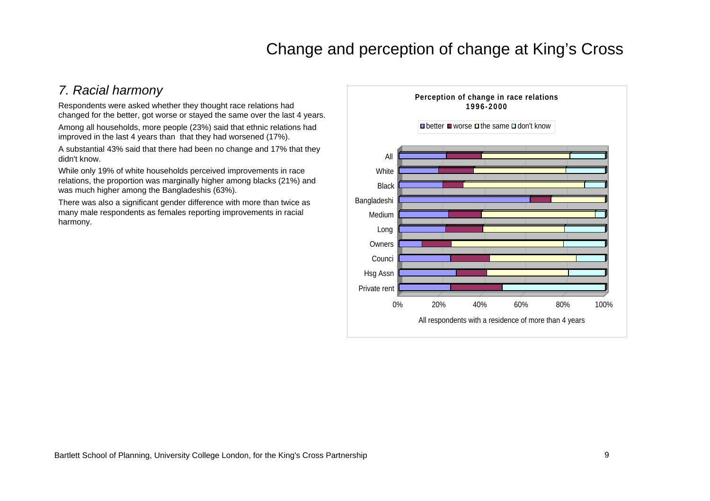### *7. Racial harmony*

Respondents were asked whether they thought race relations had changed for the better, got worse or stayed the same over the last 4 years.

Among all households, more people (23%) said that ethnic relations had improved in the last 4 years than that they had worsened (17%).

A substantial 43% said that there had been no change and 17% that they didn't know.

While only 19% of white households perceived improvements in race relations, the proportion was marginally higher among blacks (21%) and was much higher among the Bangladeshis (63%).

There was also a significant gender difference with more than twice as many male respondents as females reporting improvements in racial harmony.

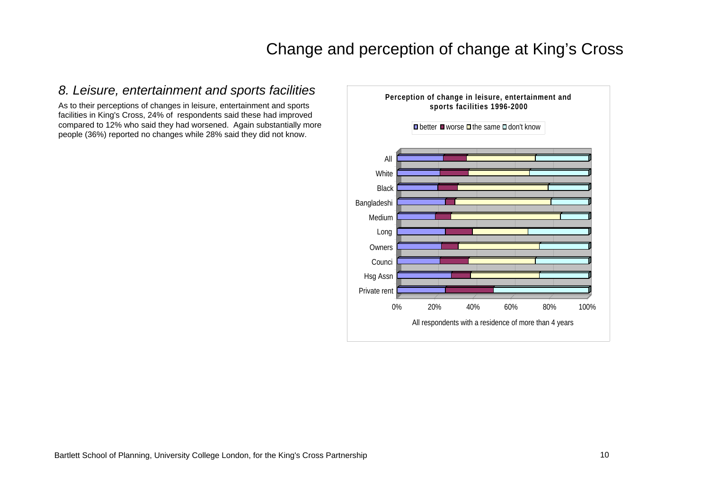### *8. Leisure, entertainment and sports facilities*

As to their perceptions of changes in leisure, entertainment and sports facilities in King's Cross, 24% of respondents said these had improved compared to 12% who said they had worsened. Again substantially more people (36%) reported no changes while 28% said they did not know.

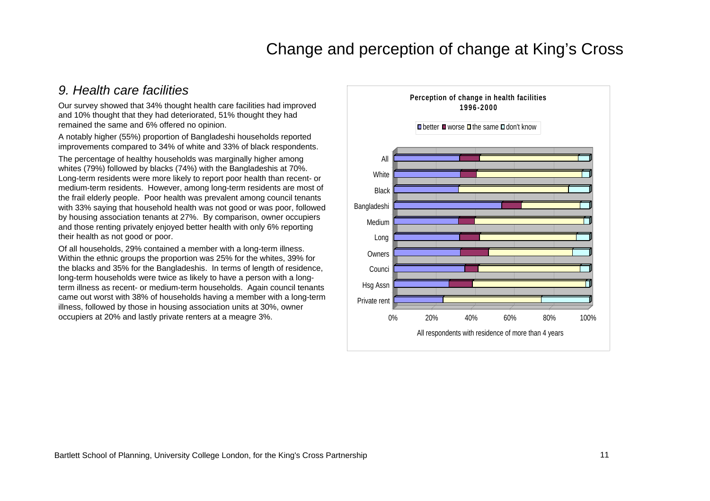#### *9. Health care facilities*

Our survey showed that 34% thought health care facilities had improved and 10% thought that they had deteriorated, 51% thought they had remained the same and 6% offered no opinion.

A notably higher (55%) proportion of Bangladeshi households reported improvements compared to 34% of white and 33% of black respondents.

The percentage of healthy households was marginally higher among whites (79%) followed by blacks (74%) with the Bangladeshis at 70%. Long-term residents were more likely to report poor health than recent- or medium-term residents. However, among long-term residents are most of the frail elderly people. Poor health was prevalent among council tenants with 33% saying that household health was not good or was poor, followed by housing association tenants at 27%. By comparison, owner occupiers and those renting privately enjoyed better health with only 6% reporting their health as not good or poor.

Of all households, 29% contained a member with a long-term illness. Within the ethnic groups the proportion was 25% for the whites, 39% for the blacks and 35% for the Bangladeshis. In terms of length of residence, long-term households were twice as likely to have a person with a longterm illness as recent- or medium-term households. Again council tenants came out worst with 38% of households having a member with a long-term illness, followed by those in housing association units at 30%, owner

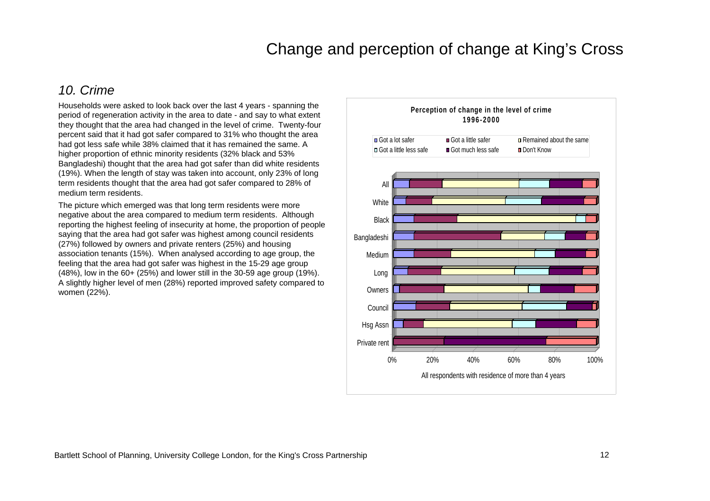### *10. Crime*

Households were asked to look back over the last 4 years - spanning the period of regeneration activity in the area to date - and say to what extent they thought that the area had changed in the level of crime. Twenty-four percent said that it had got safer compared to 31% who thought the area had got less safe while 38% claimed that it has remained the same. A higher proportion of ethnic minority residents (32% black and 53% Bangladeshi) thought that the area had got safer than did white residents (19%). When the length of stay was taken into account, only 23% of long term residents thought that the area had got safer compared to 28% of medium term residents.

The picture which emerged was that long term residents were more negative about the area compared to medium term residents. Although reporting the highest feeling of insecurity at home, the proportion of people saying that the area had got safer was highest among council residents (27%) followed by owners and private renters (25%) and housing association tenants (15%). When analysed according to age group, the feeling that the area had got safer was highest in the 15-29 age group (48%), low in the 60+ (25%) and lower still in the 30-59 age group (19%). A slightly higher level of men (28%) reported improved safety compared to women (22%).

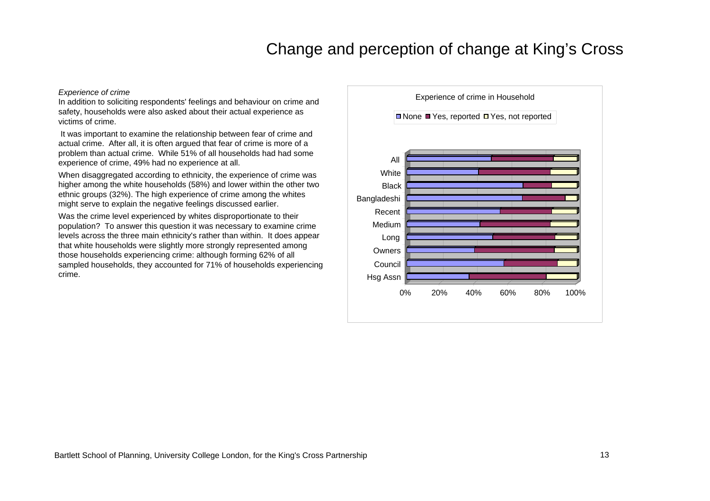#### *Experience of crime*

In addition to soliciting respondents' feelings and behaviour on crime and safety, households were also asked about their actual experience as victims of crime.

 It was important to examine the relationship between fear of crime and actual crime. After all, it is often argued that fear of crime is more of a problem than actual crime. While 51% of all households had had some experience of crime, 49% had no experience at all.

When disaggregated according to ethnicity, the experience of crime was higher among the white households (58%) and lower within the other two ethnic groups (32%). The high experience of crime among the whites might serve to explain the negative feelings discussed earlier.

Was the crime level experienced by whites disproportionate to their population? To answer this question it was necessary to examine crime levels across the three main ethnicity's rather than within. It does appear that white households were slightly more strongly represented among those households experiencing crime: although forming 62% of all sampled households, they accounted for 71% of households experiencing crime.

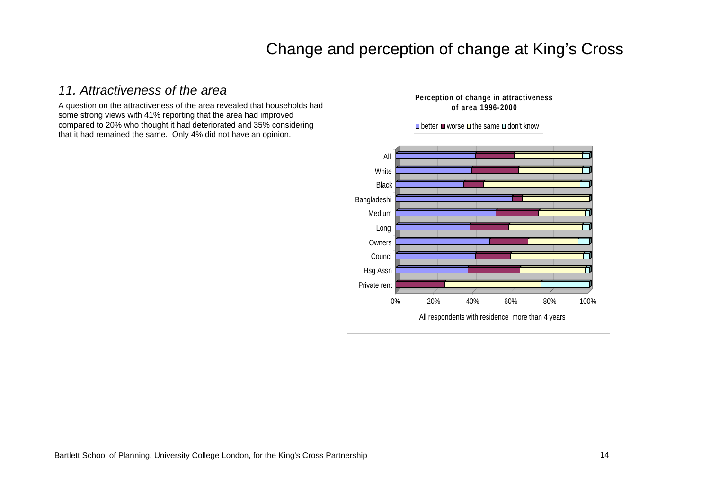#### *11. Attractiveness of the area*

A question on the attractiveness of the area revealed that households had some strong views with 41% reporting that the area had improved compared to 20% who thought it had deteriorated and 35% considering that it had remained the same. Only 4% did not have an opinion.

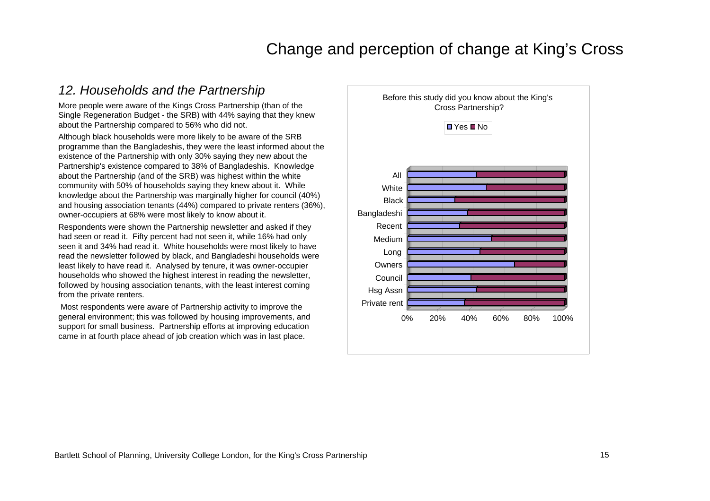#### *12. Households and the Partnership*

More people were aware of the Kings Cross Partnership (than of the Single Regeneration Budget - the SRB) with 44% saying that they knew about the Partnership compared to 56% who did not.

Although black households were more likely to be aware of the SRB programme than the Bangladeshis, they were the least informed about the existence of the Partnership with only 30% saying they new about the Partnership's existence compared to 38% of Bangladeshis. Knowledge about the Partnership (and of the SRB) was highest within the white community with 50% of households saying they knew about it. While knowledge about the Partnership was marginally higher for council (40%) and housing association tenants (44%) compared to private renters (36%), owner-occupiers at 68% were most likely to know about it.

Respondents were shown the Partnership newsletter and asked if they had seen or read it. Fifty percent had not seen it, while 16% had only seen it and 34% had read it. White households were most likely to have read the newsletter followed by black, and Bangladeshi households were least likely to have read it. Analysed by tenure, it was owner-occupier households who showed the highest interest in reading the newsletter, followed by housing association tenants, with the least interest coming from the private renters.

 Most respondents were aware of Partnership activity to improve the general environment; this was followed by housing improvements, and support for small business. Partnership efforts at improving education came in at fourth place ahead of job creation which was in last place.

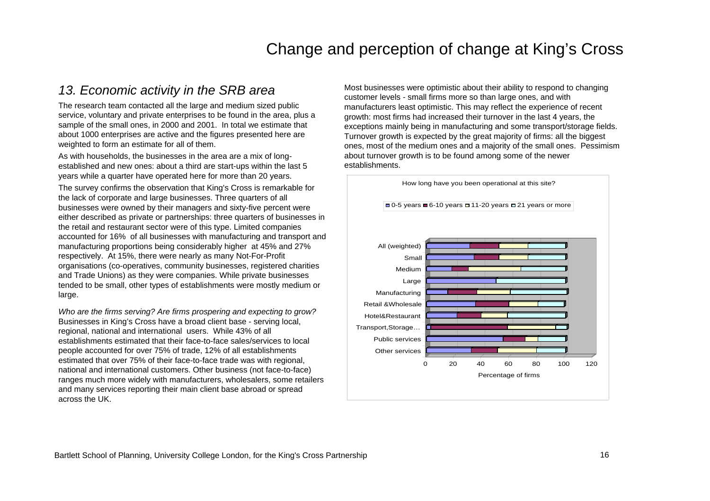#### *13. Economic activity in the SRB area*

The research team contacted all the large and medium sized public service, voluntary and private enterprises to be found in the area, plus a sample of the small ones, in 2000 and 2001. In total we estimate that about 1000 enterprises are active and the figures presented here are weighted to form an estimate for all of them.

As with households, the businesses in the area are a mix of longestablished and new ones: about a third are start-ups within the last 5 years while a quarter have operated here for more than 20 years.

The survey confirms the observation that King's Cross is remarkable for the lack of corporate and large businesses. Three quarters of all businesses were owned by their managers and sixty-five percent were either described as private or partnerships: three quarters of businesses in the retail and restaurant sector were of this type. Limited companies accounted for 16% of all businesses with manufacturing and transport and manufacturing proportions being considerably higher at 45% and 27% respectively. At 15%, there were nearly as many Not-For-Profit organisations (co-operatives, community businesses, registered charities and Trade Unions) as they were companies. While private businesses tended to be small, other types of establishments were mostly medium or large.

*Who are the firms serving? Are firms prospering and expecting to grow?* Businesses in King's Cross have a broad client base - serving local, regional, national and international users. While 43% of all establishments estimated that their face-to-face sales/services to local people accounted for over 75% of trade, 12% of all establishments estimated that over 75% of their face-to-face trade was with regional, national and international customers. Other business (not face-to-face) ranges much more widely with manufacturers, wholesalers, some retailers and many services reporting their main client base abroad or spread across the UK.

Most businesses were optimistic about their ability to respond to changing customer levels - small firms more so than large ones, and with manufacturers least optimistic. This may reflect the experience of recent growth: most firms had increased their turnover in the last 4 years, the exceptions mainly being in manufacturing and some transport/storage fields. Turnover growth is expected by the great majority of firms: all the biggest ones, most of the medium ones and a majority of the small ones. Pessimism about turnover growth is to be found among some of the newer establishments.

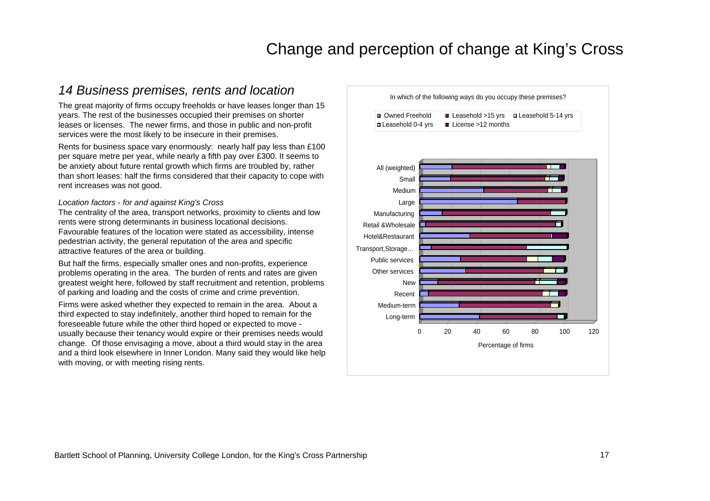### *14 Business premises, rents and location*

The great majority of firms occupy freeholds or have leases longer than 15 years. The rest of the businesses occupied their premises on shorter leases or licenses. The newer firms, and those in public and non-profit services were the most likely to be insecure in their premises.

Rents for business space vary enormously: nearly half pay less than £100 per square metre per year, while nearly a fifth pay over £300. It seems to be anxiety about future rental growth which firms are troubled by, rather than short leases: half the firms considered that their capacity to cope with rent increases was not good.

#### *Location factors - for and against King's Cross*

The centrality of the area, transport networks, proximity to clients and low rents were strong determinants in business locational decisions. Favourable features of the location were stated as accessibility, intense pedestrian activity, the general reputation of the area and specific attractive features of the area or building.

But half the firms, especially smaller ones and non-profits, experience problems operating in the area. The burden of rents and rates are given greatest weight here, followed by staff recruitment and retention, problems of parking and loading and the costs of crime and crime prevention.

Firms were asked whether they expected to remain in the area. About a third expected to stay indefinitely, another third hoped to remain for the foreseeable future while the other third hoped or expected to move usually because their tenancy would expire or their premises needs would change. Of those envisaging a move, about a third would stay in the area and a third look elsewhere in Inner London. Many said they would like help with moving, or with meeting rising rents.

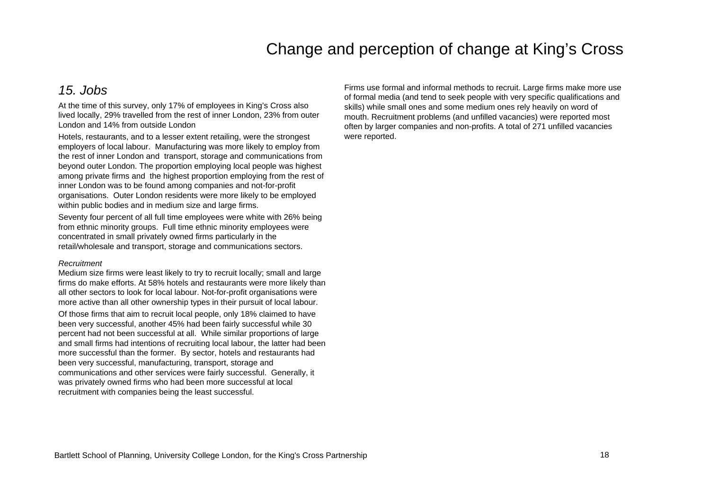#### *15. Jobs*

At the time of this survey, only 17% of employees in King's Cross also lived locally, 29% travelled from the rest of inner London, 23% from outer London and 14% from outside London

Hotels, restaurants, and to a lesser extent retailing, were the strongest employers of local labour. Manufacturing was more likely to employ from the rest of inner London and transport, storage and communications from beyond outer London. The proportion employing local people was highest among private firms and the highest proportion employing from the rest of inner London was to be found among companies and not-for-profit organisations. Outer London residents were more likely to be employed within public bodies and in medium size and large firms.

Seventy four percent of all full time employees were white with 26% being from ethnic minority groups. Full time ethnic minority employees were concentrated in small privately owned firms particularly in the retail/wholesale and transport, storage and communications sectors.

#### *Recruitment*

Medium size firms were least likely to try to recruit locally; small and large firms do make efforts. At 58% hotels and restaurants were more likely than all other sectors to look for local labour. Not-for-profit organisations were more active than all other ownership types in their pursuit of local labour.

Of those firms that aim to recruit local people, only 18% claimed to have been very successful, another 45% had been fairly successful while 30 percent had not been successful at all. While similar proportions of large and small firms had intentions of recruiting local labour, the latter had been more successful than the former. By sector, hotels and restaurants had been very successful, manufacturing, transport, storage and communications and other services were fairly successful. Generally, it was privately owned firms who had been more successful at local recruitment with companies being the least successful.

Firms use formal and informal methods to recruit. Large firms make more use of formal media (and tend to seek people with very specific qualifications and skills) while small ones and some medium ones rely heavily on word of mouth. Recruitment problems (and unfilled vacancies) were reported most often by larger companies and non-profits. A total of 271 unfilled vacancies were reported.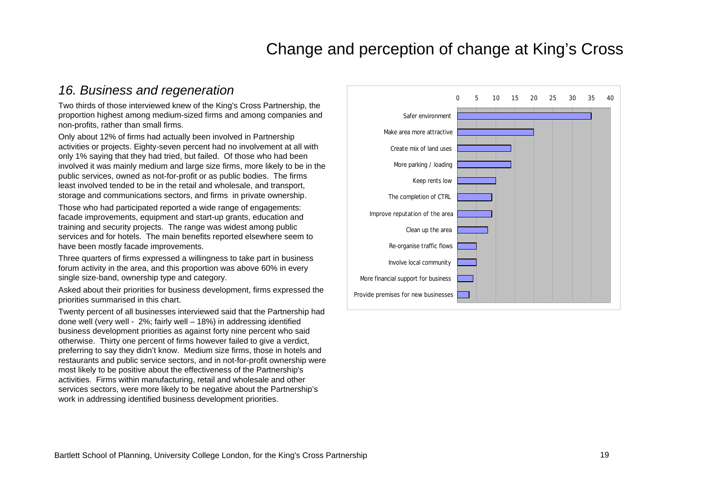#### *16. Business and regeneration*

Two thirds of those interviewed knew of the King's Cross Partnership, the proportion highest among medium-sized firms and among companies and non-profits, rather than small firms.

Only about 12% of firms had actually been involved in Partnership activities or projects. Eighty-seven percent had no involvement at all with only 1% saying that they had tried, but failed. Of those who had been involved it was mainly medium and large size firms, more likely to be in the public services, owned as not-for-profit or as public bodies. The firms least involved tended to be in the retail and wholesale, and transport, storage and communications sectors, and firms in private ownership.

Those who had participated reported a wide range of engagements: facade improvements, equipment and start-up grants, education and training and security projects. The range was widest among public services and for hotels. The main benefits reported elsewhere seem to have been mostly facade improvements.

Three quarters of firms expressed a willingness to take part in business forum activity in the area, and this proportion was above 60% in every single size-band, ownership type and category.

Asked about their priorities for business development, firms expressed the priorities summarised in this chart.

Twenty percent of all businesses interviewed said that the Partnership had done well (very well - 2%; fairly well – 18%) in addressing identified business development priorities as against forty nine percent who said otherwise. Thirty one percent of firms however failed to give a verdict, preferring to say they didn't know. Medium size firms, those in hotels and restaurants and public service sectors, and in not-for-profit ownership were most likely to be positive about the effectiveness of the Partnership's activities. Firms within manufacturing, retail and wholesale and other services sectors, were more likely to be negative about the Partnership's work in addressing identified business development priorities.

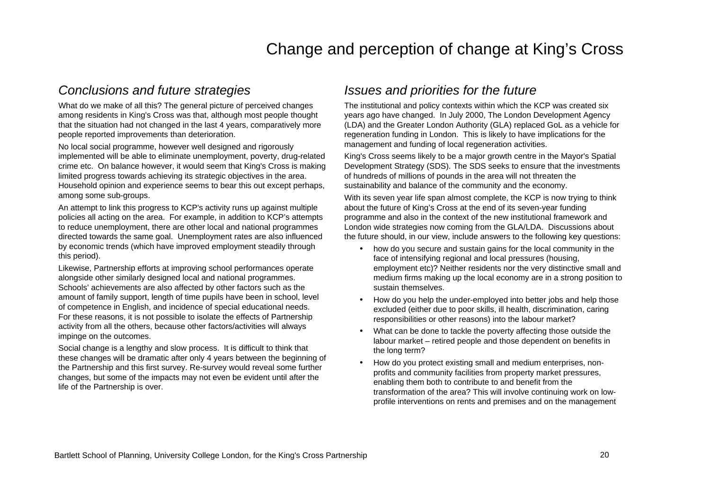#### *Conclusions and future strategies*

What do we make of all this? The general picture of perceived changes among residents in King's Cross was that, although most people thought that the situation had not changed in the last 4 years, comparatively more people reported improvements than deterioration.

No local social programme, however well designed and rigorously implemented will be able to eliminate unemployment, poverty, drug-related crime etc. On balance however, it would seem that King's Cross is making limited progress towards achieving its strategic objectives in the area. Household opinion and experience seems to bear this out except perhaps, among some sub-groups.

An attempt to link this progress to KCP's activity runs up against multiple policies all acting on the area. For example, in addition to KCP's attempts to reduce unemployment, there are other local and national programmes directed towards the same goal. Unemployment rates are also influenced by economic trends (which have improved employment steadily through this period).

Likewise, Partnership efforts at improving school performances operate alongside other similarly designed local and national programmes. Schools' achievements are also affected by other factors such as the amount of family support, length of time pupils have been in school, level of competence in English, and incidence of special educational needs. For these reasons, it is not possible to isolate the effects of Partnership activity from all the others, because other factors/activities will always impinge on the outcomes.

Social change is a lengthy and slow process. It is difficult to think that these changes will be dramatic after only 4 years between the beginning of the Partnership and this first survey. Re-survey would reveal some further changes, but some of the impacts may not even be evident until after the life of the Partnership is over.

#### *Issues and priorities for the future*

The institutional and policy contexts within which the KCP was created six years ago have changed. In July 2000, The London Development Agency (LDA) and the Greater London Authority (GLA) replaced GoL as a vehicle for regeneration funding in London. This is likely to have implications for the management and funding of local regeneration activities.

King's Cross seems likely to be a major growth centre in the Mayor's Spatial Development Strategy (SDS). The SDS seeks to ensure that the investments of hundreds of millions of pounds in the area will not threaten the sustainability and balance of the community and the economy.

With its seven year life span almost complete, the KCP is now trying to think about the future of King's Cross at the end of its seven-year funding programme and also in the context of the new institutional framework and London wide strategies now coming from the GLA/LDA. Discussions about the future should, in our view, include answers to the following key questions:

- how do you secure and sustain gains for the local community in the face of intensifying regional and local pressures (housing, employment etc)? Neither residents nor the very distinctive small and medium firms making up the local economy are in a strong position to sustain themselves.
- How do you help the under-employed into better jobs and help those excluded (either due to poor skills, ill health, discrimination, caring responsibilities or other reasons) into the labour market?
- What can be done to tackle the poverty affecting those outside the labour market – retired people and those dependent on benefits in the long term?
- How do you protect existing small and medium enterprises, nonprofits and community facilities from property market pressures, enabling them both to contribute to and benefit from the transformation of the area? This will involve continuing work on lowprofile interventions on rents and premises and on the management